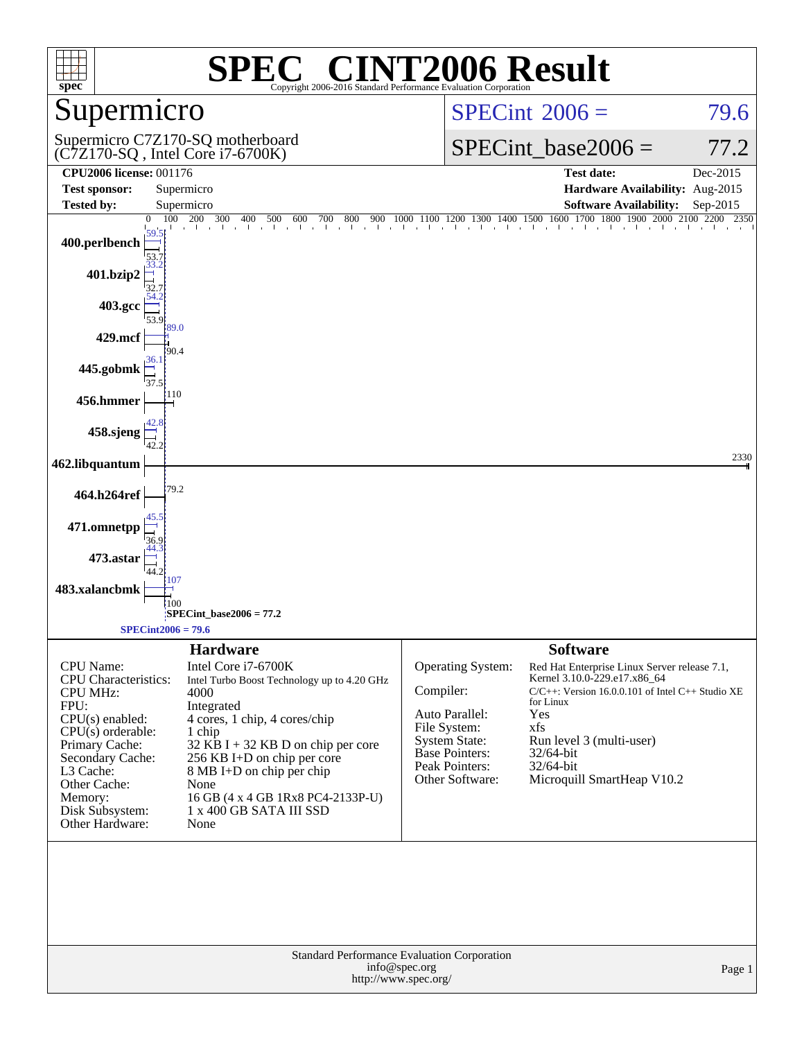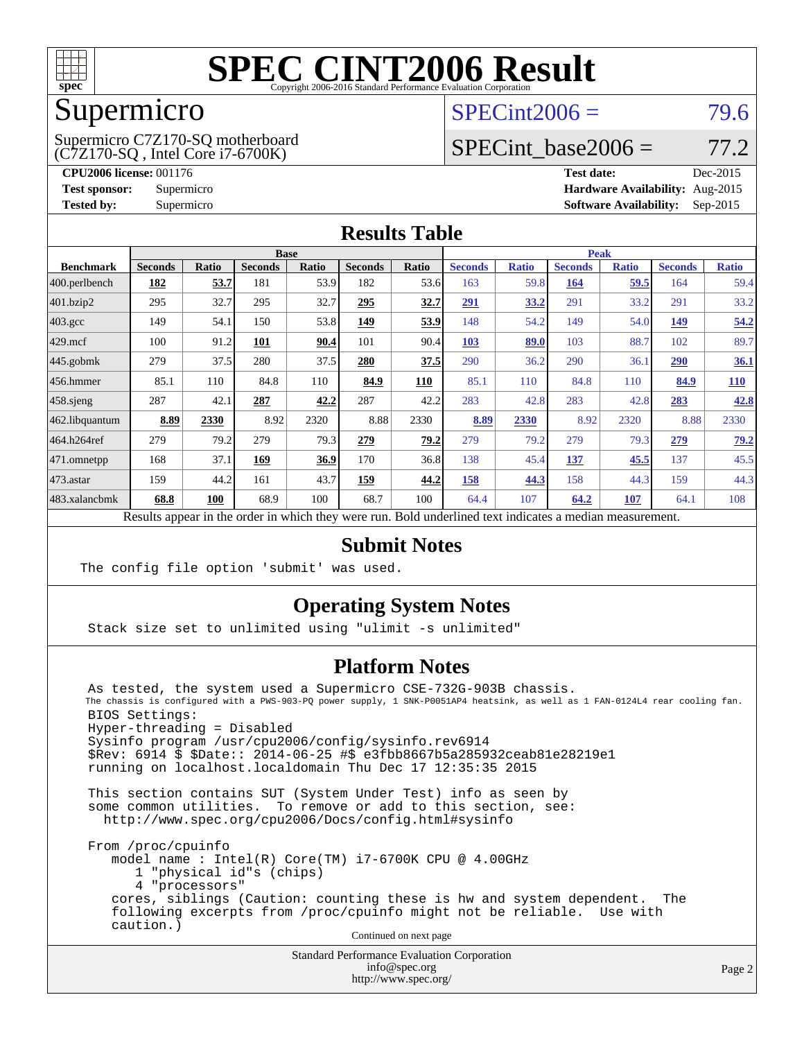

## Supermicro

(C7Z170-SQ , Intel Core i7-6700K) Supermicro C7Z170-SQ motherboard  $SPECint2006 = 79.6$  $SPECint2006 = 79.6$ 

### SPECint base2006 =  $77.2$

**[CPU2006 license:](http://www.spec.org/auto/cpu2006/Docs/result-fields.html#CPU2006license)** 001176 **[Test date:](http://www.spec.org/auto/cpu2006/Docs/result-fields.html#Testdate)** Dec-2015 **[Test sponsor:](http://www.spec.org/auto/cpu2006/Docs/result-fields.html#Testsponsor)** Supermicro **[Hardware Availability:](http://www.spec.org/auto/cpu2006/Docs/result-fields.html#HardwareAvailability)** Aug-2015 **[Tested by:](http://www.spec.org/auto/cpu2006/Docs/result-fields.html#Testedby)** Supermicro **Supermicro [Software Availability:](http://www.spec.org/auto/cpu2006/Docs/result-fields.html#SoftwareAvailability)** Sep-2015

### **[Results Table](http://www.spec.org/auto/cpu2006/Docs/result-fields.html#ResultsTable)**

| <b>Base</b>    |       |                |              |                | <b>Peak</b>  |                |              |                |              |                |              |
|----------------|-------|----------------|--------------|----------------|--------------|----------------|--------------|----------------|--------------|----------------|--------------|
| <b>Seconds</b> | Ratio | <b>Seconds</b> | <b>Ratio</b> | <b>Seconds</b> | Ratio        | <b>Seconds</b> | <b>Ratio</b> | <b>Seconds</b> | <b>Ratio</b> | <b>Seconds</b> | <b>Ratio</b> |
| <u>182</u>     | 53.7  | 181            | 53.9         | 182            | 53.6         | 163            |              | <u>164</u>     | 59.5         | 164            | 59.4         |
| 295            | 32.7  | 295            | 32.7         | 295            | <u>32.7</u>  | 291            | 33.2         | 291            | 33.2         | 291            | 33.2         |
| 149            | 54.1  | 150            |              | <u>149</u>     | 53.9         | 148            | 54.2         | 149            | 54.0         | 149            | 54.2         |
| 100            | 91.2  | 101            | 90.4         | 101            | 90.4         | <b>103</b>     | 89.0         | 103            | 88.7         | 102            | 89.7         |
| 279            | 37.5  | 280            | 37.5         | 280            | 37.5         | 290            | 36.2         | 290            | 36.1         | 290            | 36.1         |
| 85.1           | 110   | 84.8           | 110          | 84.9           | <b>110</b>   | 85.1           | 110          | 84.8           | 110          | 84.9           | <u>110</u>   |
| 287            | 42.1  | 287            | 42.2         | 287            | 42.2         | 283            | 42.8         | 283            | 42.8         | 283            | 42.8         |
| 8.89           | 2330  | 8.92           | 2320         | 8.88           | 2330         | 8.89           | 2330         | 8.92           | 2320         | 8.88           | 2330         |
| 279            | 79.2  | 279            |              | 279            | 79.2         | 279            | 79.2         | 279            | 79.3         | 279            | 79.2         |
| 168            | 37.1  | 169            | 36.9         | 170            | 36.8         | 138            |              | 137            | 45.5         | 137            | 45.5         |
| 159            | 44.2  | 161            | 43.7         | <u>159</u>     | 44.2         | 158            | 44.3         | 158            | 44.3         | 159            | 44.3         |
| 68.8           | 100   | 68.9           | 100          | 68.7           | 100          | 64.4           | 107          | 64.2           | <u>107</u>   | 64.1           | 108          |
|                |       |                |              |                | 53.8<br>79.3 |                |              |                | 59.8<br>45.4 |                |              |

Results appear in the [order in which they were run.](http://www.spec.org/auto/cpu2006/Docs/result-fields.html#RunOrder) Bold underlined text [indicates a median measurement.](http://www.spec.org/auto/cpu2006/Docs/result-fields.html#Median)

### **[Submit Notes](http://www.spec.org/auto/cpu2006/Docs/result-fields.html#SubmitNotes)**

The config file option 'submit' was used.

### **[Operating System Notes](http://www.spec.org/auto/cpu2006/Docs/result-fields.html#OperatingSystemNotes)**

Stack size set to unlimited using "ulimit -s unlimited"

### **[Platform Notes](http://www.spec.org/auto/cpu2006/Docs/result-fields.html#PlatformNotes)**

 As tested, the system used a Supermicro CSE-732G-903B chassis. The chassis is configured with a PWS-903-PQ power supply, 1 SNK-P0051AP4 heatsink, as well as 1 FAN-0124L4 rear cooling fan. BIOS Settings: Hyper-threading = Disabled Sysinfo program /usr/cpu2006/config/sysinfo.rev6914 \$Rev: 6914 \$ \$Date:: 2014-06-25 #\$ e3fbb8667b5a285932ceab81e28219e1 running on localhost.localdomain Thu Dec 17 12:35:35 2015

 This section contains SUT (System Under Test) info as seen by some common utilities. To remove or add to this section, see: <http://www.spec.org/cpu2006/Docs/config.html#sysinfo>

 From /proc/cpuinfo model name : Intel(R) Core(TM) i7-6700K CPU @ 4.00GHz 1 "physical id"s (chips) 4 "processors" cores, siblings (Caution: counting these is hw and system dependent. The following excerpts from /proc/cpuinfo might not be reliable. Use with caution.)

Continued on next page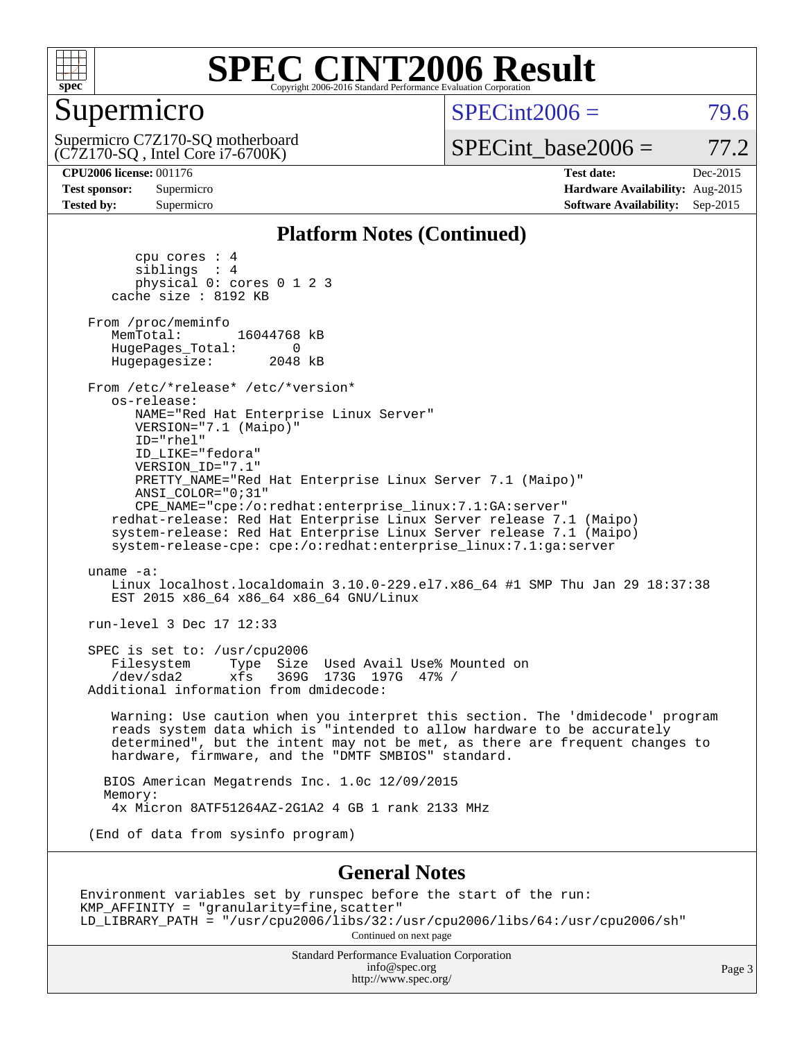

### Supermicro

(C7Z170-SQ , Intel Core i7-6700K) Supermicro C7Z170-SQ motherboard  $SPECint2006 = 79.6$  $SPECint2006 = 79.6$ 

 $SPECTnt\_base2006 = 77.2$ 

**[CPU2006 license:](http://www.spec.org/auto/cpu2006/Docs/result-fields.html#CPU2006license)** 001176 **[Test date:](http://www.spec.org/auto/cpu2006/Docs/result-fields.html#Testdate)** Dec-2015 **[Test sponsor:](http://www.spec.org/auto/cpu2006/Docs/result-fields.html#Testsponsor)** Supermicro **[Hardware Availability:](http://www.spec.org/auto/cpu2006/Docs/result-fields.html#HardwareAvailability)** Aug-2015 **[Tested by:](http://www.spec.org/auto/cpu2006/Docs/result-fields.html#Testedby)** Supermicro **Supermicro [Software Availability:](http://www.spec.org/auto/cpu2006/Docs/result-fields.html#SoftwareAvailability)** Sep-2015

#### **[Platform Notes \(Continued\)](http://www.spec.org/auto/cpu2006/Docs/result-fields.html#PlatformNotes)**

 cpu cores : 4 siblings : 4 physical 0: cores 0 1 2 3 cache size : 8192 KB From /proc/meminfo<br>MemTotal: 16044768 kB HugePages\_Total: 0<br>Hugepagesize: 2048 kB Hugepagesize: From /etc/\*release\* /etc/\*version\* os-release: NAME="Red Hat Enterprise Linux Server" VERSION="7.1 (Maipo)" ID="rhel" ID\_LIKE="fedora" VERSION\_ID="7.1" PRETTY\_NAME="Red Hat Enterprise Linux Server 7.1 (Maipo)" ANSI\_COLOR="0;31" CPE\_NAME="cpe:/o:redhat:enterprise\_linux:7.1:GA:server" redhat-release: Red Hat Enterprise Linux Server release 7.1 (Maipo) system-release: Red Hat Enterprise Linux Server release 7.1 (Maipo) system-release-cpe: cpe:/o:redhat:enterprise\_linux:7.1:ga:server uname -a: Linux localhost.localdomain 3.10.0-229.el7.x86\_64 #1 SMP Thu Jan 29 18:37:38 EST 2015 x86\_64 x86\_64 x86\_64 GNU/Linux run-level 3 Dec 17 12:33 SPEC is set to: /usr/cpu2006<br>Filesystem Type Size Type Size Used Avail Use% Mounted on<br>xfs 369G 173G 197G 47% / /dev/sda2 xfs 369G 173G 197G 47% / Additional information from dmidecode: Warning: Use caution when you interpret this section. The 'dmidecode' program reads system data which is "intended to allow hardware to be accurately determined", but the intent may not be met, as there are frequent changes to hardware, firmware, and the "DMTF SMBIOS" standard. BIOS American Megatrends Inc. 1.0c 12/09/2015 Memory: 4x Micron 8ATF51264AZ-2G1A2 4 GB 1 rank 2133 MHz (End of data from sysinfo program) **[General Notes](http://www.spec.org/auto/cpu2006/Docs/result-fields.html#GeneralNotes)** Environment variables set by runspec before the start of the run: KMP\_AFFINITY = "granularity=fine,scatter"

LD\_LIBRARY\_PATH = "/usr/cpu2006/libs/32:/usr/cpu2006/libs/64:/usr/cpu2006/sh"

Continued on next page

Standard Performance Evaluation Corporation [info@spec.org](mailto:info@spec.org) <http://www.spec.org/>

Page 3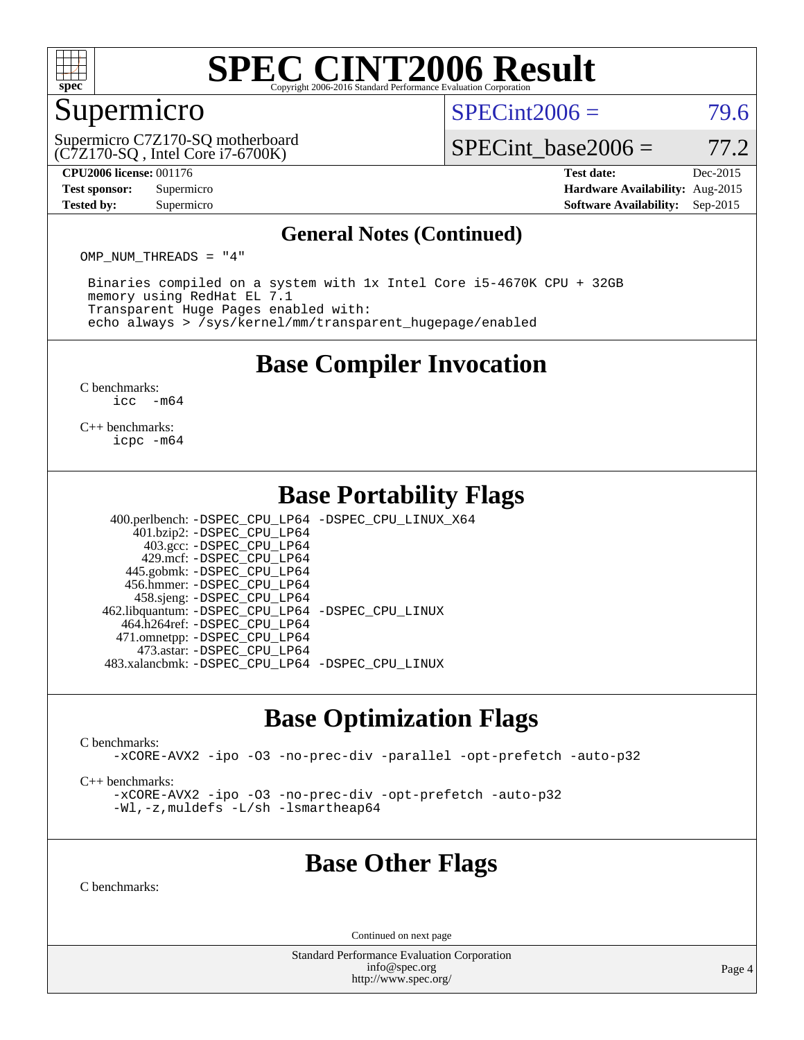

### Supermicro

 $SPECint2006 = 79.6$  $SPECint2006 = 79.6$ 

(C7Z170-SQ , Intel Core i7-6700K) Supermicro C7Z170-SQ motherboard

SPECint base2006 =  $77.2$ 

**[CPU2006 license:](http://www.spec.org/auto/cpu2006/Docs/result-fields.html#CPU2006license)** 001176 **[Test date:](http://www.spec.org/auto/cpu2006/Docs/result-fields.html#Testdate)** Dec-2015 **[Test sponsor:](http://www.spec.org/auto/cpu2006/Docs/result-fields.html#Testsponsor)** Supermicro **[Hardware Availability:](http://www.spec.org/auto/cpu2006/Docs/result-fields.html#HardwareAvailability)** Aug-2015 **[Tested by:](http://www.spec.org/auto/cpu2006/Docs/result-fields.html#Testedby)** Supermicro **Supermicro [Software Availability:](http://www.spec.org/auto/cpu2006/Docs/result-fields.html#SoftwareAvailability)** Sep-2015

#### **[General Notes \(Continued\)](http://www.spec.org/auto/cpu2006/Docs/result-fields.html#GeneralNotes)**

OMP NUM THREADS = "4"

 Binaries compiled on a system with 1x Intel Core i5-4670K CPU + 32GB memory using RedHat EL 7.1 Transparent Huge Pages enabled with: echo always > /sys/kernel/mm/transparent\_hugepage/enabled

### **[Base Compiler Invocation](http://www.spec.org/auto/cpu2006/Docs/result-fields.html#BaseCompilerInvocation)**

[C benchmarks](http://www.spec.org/auto/cpu2006/Docs/result-fields.html#Cbenchmarks):  $\text{icc}$   $-\text{m64}$ 

[C++ benchmarks:](http://www.spec.org/auto/cpu2006/Docs/result-fields.html#CXXbenchmarks) [icpc -m64](http://www.spec.org/cpu2006/results/res2016q1/cpu2006-20151223-38492.flags.html#user_CXXbase_intel_icpc_64bit_fc66a5337ce925472a5c54ad6a0de310)

### **[Base Portability Flags](http://www.spec.org/auto/cpu2006/Docs/result-fields.html#BasePortabilityFlags)**

 400.perlbench: [-DSPEC\\_CPU\\_LP64](http://www.spec.org/cpu2006/results/res2016q1/cpu2006-20151223-38492.flags.html#b400.perlbench_basePORTABILITY_DSPEC_CPU_LP64) [-DSPEC\\_CPU\\_LINUX\\_X64](http://www.spec.org/cpu2006/results/res2016q1/cpu2006-20151223-38492.flags.html#b400.perlbench_baseCPORTABILITY_DSPEC_CPU_LINUX_X64) 401.bzip2: [-DSPEC\\_CPU\\_LP64](http://www.spec.org/cpu2006/results/res2016q1/cpu2006-20151223-38492.flags.html#suite_basePORTABILITY401_bzip2_DSPEC_CPU_LP64) 403.gcc: [-DSPEC\\_CPU\\_LP64](http://www.spec.org/cpu2006/results/res2016q1/cpu2006-20151223-38492.flags.html#suite_basePORTABILITY403_gcc_DSPEC_CPU_LP64) 429.mcf: [-DSPEC\\_CPU\\_LP64](http://www.spec.org/cpu2006/results/res2016q1/cpu2006-20151223-38492.flags.html#suite_basePORTABILITY429_mcf_DSPEC_CPU_LP64) 445.gobmk: [-DSPEC\\_CPU\\_LP64](http://www.spec.org/cpu2006/results/res2016q1/cpu2006-20151223-38492.flags.html#suite_basePORTABILITY445_gobmk_DSPEC_CPU_LP64) 456.hmmer: [-DSPEC\\_CPU\\_LP64](http://www.spec.org/cpu2006/results/res2016q1/cpu2006-20151223-38492.flags.html#suite_basePORTABILITY456_hmmer_DSPEC_CPU_LP64)

 458.sjeng: [-DSPEC\\_CPU\\_LP64](http://www.spec.org/cpu2006/results/res2016q1/cpu2006-20151223-38492.flags.html#suite_basePORTABILITY458_sjeng_DSPEC_CPU_LP64) 462.libquantum: [-DSPEC\\_CPU\\_LP64](http://www.spec.org/cpu2006/results/res2016q1/cpu2006-20151223-38492.flags.html#suite_basePORTABILITY462_libquantum_DSPEC_CPU_LP64) [-DSPEC\\_CPU\\_LINUX](http://www.spec.org/cpu2006/results/res2016q1/cpu2006-20151223-38492.flags.html#b462.libquantum_baseCPORTABILITY_DSPEC_CPU_LINUX) 464.h264ref: [-DSPEC\\_CPU\\_LP64](http://www.spec.org/cpu2006/results/res2016q1/cpu2006-20151223-38492.flags.html#suite_basePORTABILITY464_h264ref_DSPEC_CPU_LP64) 471.omnetpp: [-DSPEC\\_CPU\\_LP64](http://www.spec.org/cpu2006/results/res2016q1/cpu2006-20151223-38492.flags.html#suite_basePORTABILITY471_omnetpp_DSPEC_CPU_LP64) 473.astar: [-DSPEC\\_CPU\\_LP64](http://www.spec.org/cpu2006/results/res2016q1/cpu2006-20151223-38492.flags.html#suite_basePORTABILITY473_astar_DSPEC_CPU_LP64)

483.xalancbmk: [-DSPEC\\_CPU\\_LP64](http://www.spec.org/cpu2006/results/res2016q1/cpu2006-20151223-38492.flags.html#suite_basePORTABILITY483_xalancbmk_DSPEC_CPU_LP64) [-DSPEC\\_CPU\\_LINUX](http://www.spec.org/cpu2006/results/res2016q1/cpu2006-20151223-38492.flags.html#b483.xalancbmk_baseCXXPORTABILITY_DSPEC_CPU_LINUX)

### **[Base Optimization Flags](http://www.spec.org/auto/cpu2006/Docs/result-fields.html#BaseOptimizationFlags)**

[C benchmarks](http://www.spec.org/auto/cpu2006/Docs/result-fields.html#Cbenchmarks):

[-xCORE-AVX2](http://www.spec.org/cpu2006/results/res2016q1/cpu2006-20151223-38492.flags.html#user_CCbase_f-xAVX2_5f5fc0cbe2c9f62c816d3e45806c70d7) [-ipo](http://www.spec.org/cpu2006/results/res2016q1/cpu2006-20151223-38492.flags.html#user_CCbase_f-ipo) [-O3](http://www.spec.org/cpu2006/results/res2016q1/cpu2006-20151223-38492.flags.html#user_CCbase_f-O3) [-no-prec-div](http://www.spec.org/cpu2006/results/res2016q1/cpu2006-20151223-38492.flags.html#user_CCbase_f-no-prec-div) [-parallel](http://www.spec.org/cpu2006/results/res2016q1/cpu2006-20151223-38492.flags.html#user_CCbase_f-parallel) [-opt-prefetch](http://www.spec.org/cpu2006/results/res2016q1/cpu2006-20151223-38492.flags.html#user_CCbase_f-opt-prefetch) [-auto-p32](http://www.spec.org/cpu2006/results/res2016q1/cpu2006-20151223-38492.flags.html#user_CCbase_f-auto-p32)

[C++ benchmarks:](http://www.spec.org/auto/cpu2006/Docs/result-fields.html#CXXbenchmarks)

[-xCORE-AVX2](http://www.spec.org/cpu2006/results/res2016q1/cpu2006-20151223-38492.flags.html#user_CXXbase_f-xAVX2_5f5fc0cbe2c9f62c816d3e45806c70d7) [-ipo](http://www.spec.org/cpu2006/results/res2016q1/cpu2006-20151223-38492.flags.html#user_CXXbase_f-ipo) [-O3](http://www.spec.org/cpu2006/results/res2016q1/cpu2006-20151223-38492.flags.html#user_CXXbase_f-O3) [-no-prec-div](http://www.spec.org/cpu2006/results/res2016q1/cpu2006-20151223-38492.flags.html#user_CXXbase_f-no-prec-div) [-opt-prefetch](http://www.spec.org/cpu2006/results/res2016q1/cpu2006-20151223-38492.flags.html#user_CXXbase_f-opt-prefetch) [-auto-p32](http://www.spec.org/cpu2006/results/res2016q1/cpu2006-20151223-38492.flags.html#user_CXXbase_f-auto-p32) [-Wl,-z,muldefs](http://www.spec.org/cpu2006/results/res2016q1/cpu2006-20151223-38492.flags.html#user_CXXbase_link_force_multiple1_74079c344b956b9658436fd1b6dd3a8a) [-L/sh -lsmartheap64](http://www.spec.org/cpu2006/results/res2016q1/cpu2006-20151223-38492.flags.html#user_CXXbase_SmartHeap64_ed4ef857ce90951921efb0d91eb88472)

### **[Base Other Flags](http://www.spec.org/auto/cpu2006/Docs/result-fields.html#BaseOtherFlags)**

[C benchmarks](http://www.spec.org/auto/cpu2006/Docs/result-fields.html#Cbenchmarks):

Continued on next page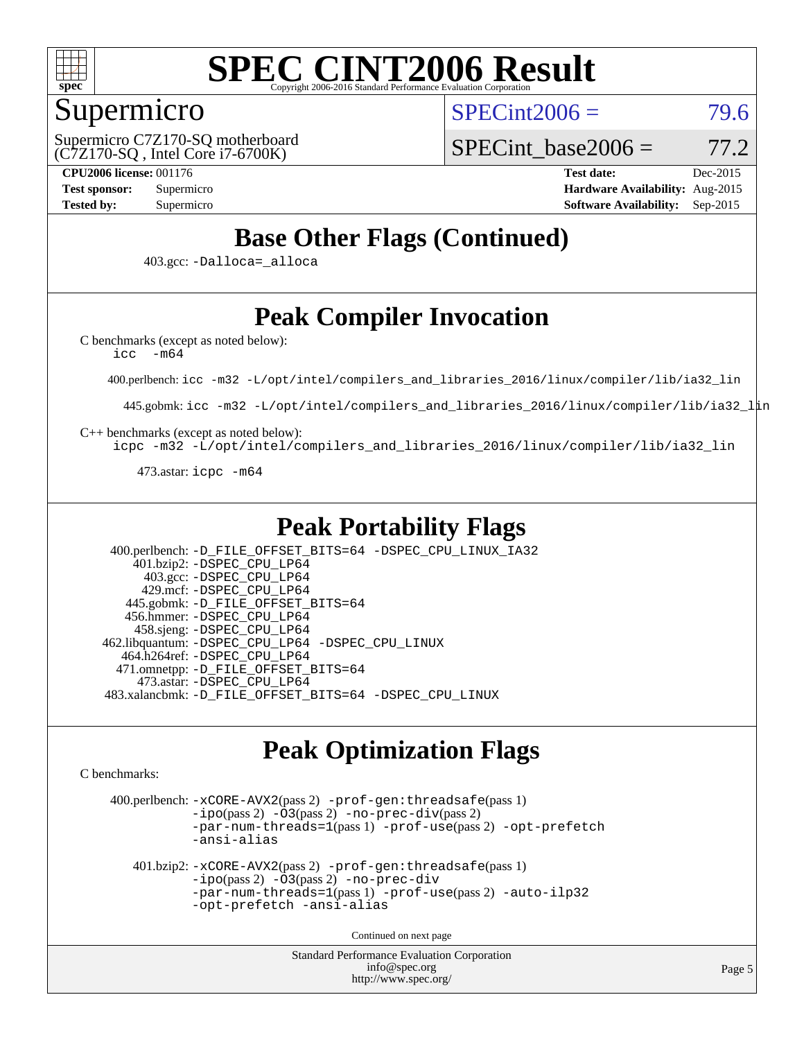

### Supermicro

 $SPECint2006 = 79.6$  $SPECint2006 = 79.6$ 

(C7Z170-SQ , Intel Core i7-6700K) Supermicro C7Z170-SQ motherboard SPECint base2006 =  $77.2$ 

**[CPU2006 license:](http://www.spec.org/auto/cpu2006/Docs/result-fields.html#CPU2006license)** 001176 **[Test date:](http://www.spec.org/auto/cpu2006/Docs/result-fields.html#Testdate)** Dec-2015 **[Test sponsor:](http://www.spec.org/auto/cpu2006/Docs/result-fields.html#Testsponsor)** Supermicro **[Hardware Availability:](http://www.spec.org/auto/cpu2006/Docs/result-fields.html#HardwareAvailability)** Aug-2015 **[Tested by:](http://www.spec.org/auto/cpu2006/Docs/result-fields.html#Testedby)** Supermicro **Supermicro [Software Availability:](http://www.spec.org/auto/cpu2006/Docs/result-fields.html#SoftwareAvailability)** Sep-2015

### **[Base Other Flags \(Continued\)](http://www.spec.org/auto/cpu2006/Docs/result-fields.html#BaseOtherFlags)**

403.gcc: [-Dalloca=\\_alloca](http://www.spec.org/cpu2006/results/res2016q1/cpu2006-20151223-38492.flags.html#b403.gcc_baseEXTRA_CFLAGS_Dalloca_be3056838c12de2578596ca5467af7f3)

## **[Peak Compiler Invocation](http://www.spec.org/auto/cpu2006/Docs/result-fields.html#PeakCompilerInvocation)**

[C benchmarks \(except as noted below\)](http://www.spec.org/auto/cpu2006/Docs/result-fields.html#Cbenchmarksexceptasnotedbelow):

[icc -m64](http://www.spec.org/cpu2006/results/res2016q1/cpu2006-20151223-38492.flags.html#user_CCpeak_intel_icc_64bit_f346026e86af2a669e726fe758c88044)

400.perlbench: [icc -m32 -L/opt/intel/compilers\\_and\\_libraries\\_2016/linux/compiler/lib/ia32\\_lin](http://www.spec.org/cpu2006/results/res2016q1/cpu2006-20151223-38492.flags.html#user_peakCCLD400_perlbench_intel_icc_e10256ba5924b668798078a321b0cb3f)

445.gobmk: [icc -m32 -L/opt/intel/compilers\\_and\\_libraries\\_2016/linux/compiler/lib/ia32\\_lin](http://www.spec.org/cpu2006/results/res2016q1/cpu2006-20151223-38492.flags.html#user_peakCCLD445_gobmk_intel_icc_e10256ba5924b668798078a321b0cb3f)

[C++ benchmarks \(except as noted below\):](http://www.spec.org/auto/cpu2006/Docs/result-fields.html#CXXbenchmarksexceptasnotedbelow)

[icpc -m32 -L/opt/intel/compilers\\_and\\_libraries\\_2016/linux/compiler/lib/ia32\\_lin](http://www.spec.org/cpu2006/results/res2016q1/cpu2006-20151223-38492.flags.html#user_CXXpeak_intel_icpc_b4f50a394bdb4597aa5879c16bc3f5c5)

473.astar: [icpc -m64](http://www.spec.org/cpu2006/results/res2016q1/cpu2006-20151223-38492.flags.html#user_peakCXXLD473_astar_intel_icpc_64bit_fc66a5337ce925472a5c54ad6a0de310)

### **[Peak Portability Flags](http://www.spec.org/auto/cpu2006/Docs/result-fields.html#PeakPortabilityFlags)**

 400.perlbench: [-D\\_FILE\\_OFFSET\\_BITS=64](http://www.spec.org/cpu2006/results/res2016q1/cpu2006-20151223-38492.flags.html#user_peakPORTABILITY400_perlbench_file_offset_bits_64_438cf9856305ebd76870a2c6dc2689ab) [-DSPEC\\_CPU\\_LINUX\\_IA32](http://www.spec.org/cpu2006/results/res2016q1/cpu2006-20151223-38492.flags.html#b400.perlbench_peakCPORTABILITY_DSPEC_CPU_LINUX_IA32) 401.bzip2: [-DSPEC\\_CPU\\_LP64](http://www.spec.org/cpu2006/results/res2016q1/cpu2006-20151223-38492.flags.html#suite_peakPORTABILITY401_bzip2_DSPEC_CPU_LP64) 403.gcc: [-DSPEC\\_CPU\\_LP64](http://www.spec.org/cpu2006/results/res2016q1/cpu2006-20151223-38492.flags.html#suite_peakPORTABILITY403_gcc_DSPEC_CPU_LP64) 429.mcf: [-DSPEC\\_CPU\\_LP64](http://www.spec.org/cpu2006/results/res2016q1/cpu2006-20151223-38492.flags.html#suite_peakPORTABILITY429_mcf_DSPEC_CPU_LP64) 445.gobmk: [-D\\_FILE\\_OFFSET\\_BITS=64](http://www.spec.org/cpu2006/results/res2016q1/cpu2006-20151223-38492.flags.html#user_peakPORTABILITY445_gobmk_file_offset_bits_64_438cf9856305ebd76870a2c6dc2689ab) 456.hmmer: [-DSPEC\\_CPU\\_LP64](http://www.spec.org/cpu2006/results/res2016q1/cpu2006-20151223-38492.flags.html#suite_peakPORTABILITY456_hmmer_DSPEC_CPU_LP64) 458.sjeng: [-DSPEC\\_CPU\\_LP64](http://www.spec.org/cpu2006/results/res2016q1/cpu2006-20151223-38492.flags.html#suite_peakPORTABILITY458_sjeng_DSPEC_CPU_LP64) 462.libquantum: [-DSPEC\\_CPU\\_LP64](http://www.spec.org/cpu2006/results/res2016q1/cpu2006-20151223-38492.flags.html#suite_peakPORTABILITY462_libquantum_DSPEC_CPU_LP64) [-DSPEC\\_CPU\\_LINUX](http://www.spec.org/cpu2006/results/res2016q1/cpu2006-20151223-38492.flags.html#b462.libquantum_peakCPORTABILITY_DSPEC_CPU_LINUX) 464.h264ref: [-DSPEC\\_CPU\\_LP64](http://www.spec.org/cpu2006/results/res2016q1/cpu2006-20151223-38492.flags.html#suite_peakPORTABILITY464_h264ref_DSPEC_CPU_LP64) 471.omnetpp: [-D\\_FILE\\_OFFSET\\_BITS=64](http://www.spec.org/cpu2006/results/res2016q1/cpu2006-20151223-38492.flags.html#user_peakPORTABILITY471_omnetpp_file_offset_bits_64_438cf9856305ebd76870a2c6dc2689ab) 473.astar: [-DSPEC\\_CPU\\_LP64](http://www.spec.org/cpu2006/results/res2016q1/cpu2006-20151223-38492.flags.html#suite_peakPORTABILITY473_astar_DSPEC_CPU_LP64) 483.xalancbmk: [-D\\_FILE\\_OFFSET\\_BITS=64](http://www.spec.org/cpu2006/results/res2016q1/cpu2006-20151223-38492.flags.html#user_peakPORTABILITY483_xalancbmk_file_offset_bits_64_438cf9856305ebd76870a2c6dc2689ab) [-DSPEC\\_CPU\\_LINUX](http://www.spec.org/cpu2006/results/res2016q1/cpu2006-20151223-38492.flags.html#b483.xalancbmk_peakCXXPORTABILITY_DSPEC_CPU_LINUX)

### **[Peak Optimization Flags](http://www.spec.org/auto/cpu2006/Docs/result-fields.html#PeakOptimizationFlags)**

[C benchmarks](http://www.spec.org/auto/cpu2006/Docs/result-fields.html#Cbenchmarks):

 400.perlbench: [-xCORE-AVX2](http://www.spec.org/cpu2006/results/res2016q1/cpu2006-20151223-38492.flags.html#user_peakPASS2_CFLAGSPASS2_LDCFLAGS400_perlbench_f-xAVX2_5f5fc0cbe2c9f62c816d3e45806c70d7)(pass 2) [-prof-gen:threadsafe](http://www.spec.org/cpu2006/results/res2016q1/cpu2006-20151223-38492.flags.html#user_peakPASS1_CFLAGSPASS1_LDCFLAGS400_perlbench_prof_gen_21a26eb79f378b550acd7bec9fe4467a)(pass 1)  $-i\text{po}(pass 2)$  [-O3](http://www.spec.org/cpu2006/results/res2016q1/cpu2006-20151223-38492.flags.html#user_peakPASS2_CFLAGSPASS2_LDCFLAGS400_perlbench_f-O3) $(pass 2)$  [-no-prec-div](http://www.spec.org/cpu2006/results/res2016q1/cpu2006-20151223-38492.flags.html#user_peakPASS2_CFLAGSPASS2_LDCFLAGS400_perlbench_f-no-prec-div) $(pass 2)$ [-par-num-threads=1](http://www.spec.org/cpu2006/results/res2016q1/cpu2006-20151223-38492.flags.html#user_peakPASS1_CFLAGSPASS1_LDCFLAGS400_perlbench_par_num_threads_786a6ff141b4e9e90432e998842df6c2)(pass 1) [-prof-use](http://www.spec.org/cpu2006/results/res2016q1/cpu2006-20151223-38492.flags.html#user_peakPASS2_CFLAGSPASS2_LDCFLAGS400_perlbench_prof_use_bccf7792157ff70d64e32fe3e1250b55)(pass 2) [-opt-prefetch](http://www.spec.org/cpu2006/results/res2016q1/cpu2006-20151223-38492.flags.html#user_peakCOPTIMIZE400_perlbench_f-opt-prefetch) [-ansi-alias](http://www.spec.org/cpu2006/results/res2016q1/cpu2006-20151223-38492.flags.html#user_peakCOPTIMIZE400_perlbench_f-ansi-alias) 401.bzip2: [-xCORE-AVX2](http://www.spec.org/cpu2006/results/res2016q1/cpu2006-20151223-38492.flags.html#user_peakPASS2_CFLAGSPASS2_LDCFLAGS401_bzip2_f-xAVX2_5f5fc0cbe2c9f62c816d3e45806c70d7)(pass 2) [-prof-gen:threadsafe](http://www.spec.org/cpu2006/results/res2016q1/cpu2006-20151223-38492.flags.html#user_peakPASS1_CFLAGSPASS1_LDCFLAGS401_bzip2_prof_gen_21a26eb79f378b550acd7bec9fe4467a)(pass 1) [-ipo](http://www.spec.org/cpu2006/results/res2016q1/cpu2006-20151223-38492.flags.html#user_peakPASS2_CFLAGSPASS2_LDCFLAGS401_bzip2_f-ipo)(pass 2) [-O3](http://www.spec.org/cpu2006/results/res2016q1/cpu2006-20151223-38492.flags.html#user_peakPASS2_CFLAGSPASS2_LDCFLAGS401_bzip2_f-O3)(pass 2) [-no-prec-div](http://www.spec.org/cpu2006/results/res2016q1/cpu2006-20151223-38492.flags.html#user_peakCOPTIMIZEPASS2_CFLAGSPASS2_LDCFLAGS401_bzip2_f-no-prec-div) [-par-num-threads=1](http://www.spec.org/cpu2006/results/res2016q1/cpu2006-20151223-38492.flags.html#user_peakPASS1_CFLAGSPASS1_LDCFLAGS401_bzip2_par_num_threads_786a6ff141b4e9e90432e998842df6c2)(pass 1) [-prof-use](http://www.spec.org/cpu2006/results/res2016q1/cpu2006-20151223-38492.flags.html#user_peakPASS2_CFLAGSPASS2_LDCFLAGS401_bzip2_prof_use_bccf7792157ff70d64e32fe3e1250b55)(pass 2) [-auto-ilp32](http://www.spec.org/cpu2006/results/res2016q1/cpu2006-20151223-38492.flags.html#user_peakCOPTIMIZE401_bzip2_f-auto-ilp32) [-opt-prefetch](http://www.spec.org/cpu2006/results/res2016q1/cpu2006-20151223-38492.flags.html#user_peakCOPTIMIZE401_bzip2_f-opt-prefetch) [-ansi-alias](http://www.spec.org/cpu2006/results/res2016q1/cpu2006-20151223-38492.flags.html#user_peakCOPTIMIZE401_bzip2_f-ansi-alias) Continued on next page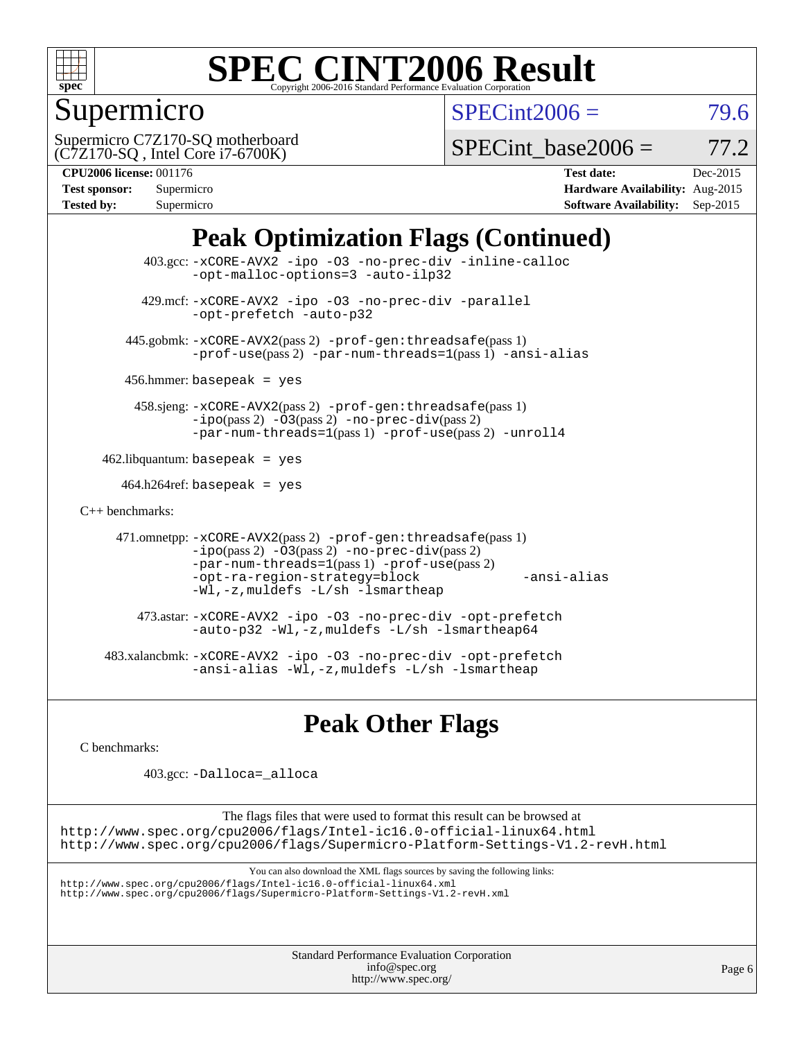

## Supermicro

 $SPECint2006 = 79.6$  $SPECint2006 = 79.6$ 

(C7Z170-SQ , Intel Core i7-6700K) Supermicro C7Z170-SQ motherboard

SPECint base2006 =  $77.2$ 

| <b>Test sponsor:</b> | Supermicro |
|----------------------|------------|
| <b>Tested by:</b>    | Supermicro |

**[CPU2006 license:](http://www.spec.org/auto/cpu2006/Docs/result-fields.html#CPU2006license)** 001176 **[Test date:](http://www.spec.org/auto/cpu2006/Docs/result-fields.html#Testdate)** Dec-2015 **[Hardware Availability:](http://www.spec.org/auto/cpu2006/Docs/result-fields.html#HardwareAvailability)** Aug-2015 **[Software Availability:](http://www.spec.org/auto/cpu2006/Docs/result-fields.html#SoftwareAvailability)** Sep-2015

## **[Peak Optimization Flags \(Continued\)](http://www.spec.org/auto/cpu2006/Docs/result-fields.html#PeakOptimizationFlags)**

```
 403.gcc: -xCORE-AVX2 -ipo -O3 -no-prec-div -inline-calloc
                -opt-malloc-options=3 -auto-ilp32
         429.mcf: -xCORE-AVX2 -ipo -O3 -no-prec-div -parallel
                -opt-prefetch -auto-p32
       445.gobmk: -xCORE-AVX2(pass 2) -prof-gen:threadsafe(pass 1)
                -prof-use(pass 2) -par-num-threads=1(pass 1) -ansi-alias
      456.hmmer: basepeak = yes
        458.sjeng: -xCORE-AVX2(pass 2) -prof-gen:threadsafe(pass 1)
                -i\text{po}(pass 2) -\text{O3}(pass 2)-no-prec-div(pass 2)
                -par-num-threads=1(pass 1) -prof-use(pass 2) -unroll4
   462.libquantum: basepeak = yes
     464.h264ref: basepeak = yes
C++ benchmarks: 
      471.omnetpp: -xCORE-AVX2(pass 2) -prof-gen:threadsafe(pass 1)
                -i\text{po}(pass 2) -\overline{O}3(pass 2) -no-prec\div\overline{div}(pass 2)-par-num-threads=1(pass 1) -prof-use(pass 2)
                -opt-ra-region-strategy=block -ansi-alias
                -Wl,-z,muldefs -L/sh -lsmartheap
         473.astar: -xCORE-AVX2 -ipo -O3 -no-prec-div -opt-prefetch
                -auto-p32 -Wl,-z,muldefs -L/sh -lsmartheap64
    483.xalancbmk: -xCORE-AVX2 -ipo -O3 -no-prec-div -opt-prefetch
                -ansi-alias -Wl,-z,muldefs -L/sh -lsmartheap
```
### **[Peak Other Flags](http://www.spec.org/auto/cpu2006/Docs/result-fields.html#PeakOtherFlags)**

[C benchmarks](http://www.spec.org/auto/cpu2006/Docs/result-fields.html#Cbenchmarks):

403.gcc: [-Dalloca=\\_alloca](http://www.spec.org/cpu2006/results/res2016q1/cpu2006-20151223-38492.flags.html#b403.gcc_peakEXTRA_CFLAGS_Dalloca_be3056838c12de2578596ca5467af7f3)

The flags files that were used to format this result can be browsed at <http://www.spec.org/cpu2006/flags/Intel-ic16.0-official-linux64.html> <http://www.spec.org/cpu2006/flags/Supermicro-Platform-Settings-V1.2-revH.html>

You can also download the XML flags sources by saving the following links:

<http://www.spec.org/cpu2006/flags/Intel-ic16.0-official-linux64.xml> <http://www.spec.org/cpu2006/flags/Supermicro-Platform-Settings-V1.2-revH.xml>